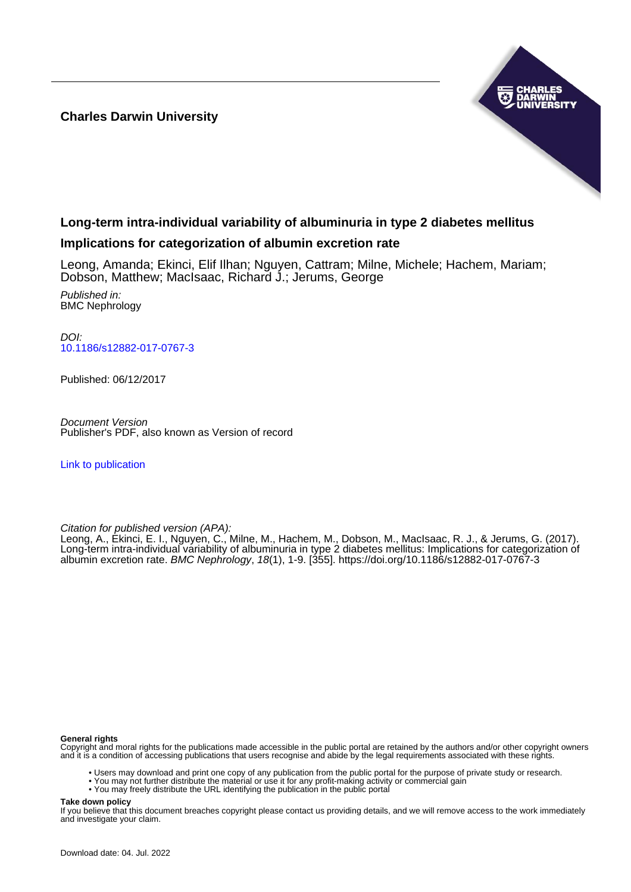**Charles Darwin University**



# **Long-term intra-individual variability of albuminuria in type 2 diabetes mellitus**

# **Implications for categorization of albumin excretion rate**

Leong, Amanda; Ekinci, Elif Ilhan; Nguyen, Cattram; Milne, Michele; Hachem, Mariam; Dobson, Matthew; MacIsaac, Richard J.; Jerums, George

Published in: BMC Nephrology

 $D$ [10.1186/s12882-017-0767-3](https://doi.org/10.1186/s12882-017-0767-3)

Published: 06/12/2017

Document Version Publisher's PDF, also known as Version of record

[Link to publication](https://researchers.cdu.edu.au/en/publications/63c71f4d-839d-48d4-8d04-0c6fb4fb781b)

Citation for published version (APA):

Leong, A., Ekinci, E. I., Nguyen, C., Milne, M., Hachem, M., Dobson, M., MacIsaac, R. J., & Jerums, G. (2017). Long-term intra-individual variability of albuminuria in type 2 diabetes mellitus: Implications for categorization of albumin excretion rate. BMC Nephrology, 18(1), 1-9. [355].<https://doi.org/10.1186/s12882-017-0767-3>

# **General rights**

Copyright and moral rights for the publications made accessible in the public portal are retained by the authors and/or other copyright owners and it is a condition of accessing publications that users recognise and abide by the legal requirements associated with these rights.

- Users may download and print one copy of any publication from the public portal for the purpose of private study or research.
- You may not further distribute the material or use it for any profit-making activity or commercial gain
- You may freely distribute the URL identifying the publication in the public portal

**Take down policy**

If you believe that this document breaches copyright please contact us providing details, and we will remove access to the work immediately and investigate your claim.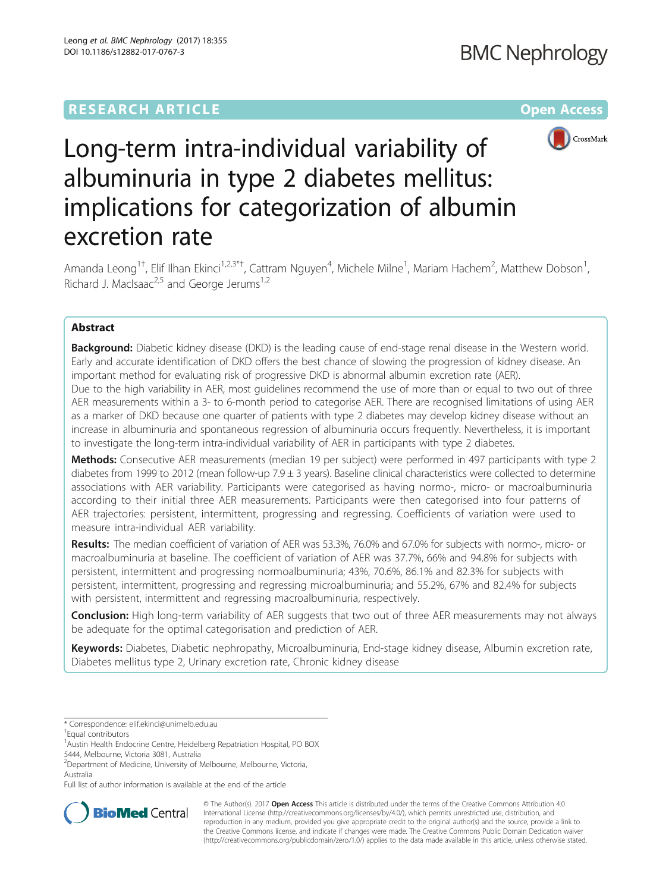# **RESEARCH ARTICLE Example 2014 12:30 The Community Community Community Community Community Community Community**



# Long-term intra-individual variability of albuminuria in type 2 diabetes mellitus: implications for categorization of albumin excretion rate

Amanda Leong<sup>1†</sup>, Elif Ilhan Ekinci<sup>1,2,3\*†</sup>, Cattram Nguyen<sup>4</sup>, Michele Milne<sup>1</sup>, Mariam Hachem<sup>2</sup>, Matthew Dobson<sup>1</sup> , Richard J. MacIsaac<sup>2,5</sup> and George Jerums<sup>1,2</sup>

# Abstract

**Background:** Diabetic kidney disease (DKD) is the leading cause of end-stage renal disease in the Western world. Early and accurate identification of DKD offers the best chance of slowing the progression of kidney disease. An important method for evaluating risk of progressive DKD is abnormal albumin excretion rate (AER). Due to the high variability in AER, most guidelines recommend the use of more than or equal to two out of three AER measurements within a 3- to 6-month period to categorise AER. There are recognised limitations of using AER as a marker of DKD because one quarter of patients with type 2 diabetes may develop kidney disease without an increase in albuminuria and spontaneous regression of albuminuria occurs frequently. Nevertheless, it is important to investigate the long-term intra-individual variability of AER in participants with type 2 diabetes.

Methods: Consecutive AER measurements (median 19 per subject) were performed in 497 participants with type 2 diabetes from 1999 to 2012 (mean follow-up 7.9 ± 3 years). Baseline clinical characteristics were collected to determine associations with AER variability. Participants were categorised as having normo-, micro- or macroalbuminuria according to their initial three AER measurements. Participants were then categorised into four patterns of AER trajectories: persistent, intermittent, progressing and regressing. Coefficients of variation were used to measure intra-individual AER variability.

Results: The median coefficient of variation of AER was 53.3%, 76.0% and 67.0% for subjects with normo-, micro- or macroalbuminuria at baseline. The coefficient of variation of AER was 37.7%, 66% and 94.8% for subjects with persistent, intermittent and progressing normoalbuminuria; 43%, 70.6%, 86.1% and 82.3% for subjects with persistent, intermittent, progressing and regressing microalbuminuria; and 55.2%, 67% and 82.4% for subjects with persistent, intermittent and regressing macroalbuminuria, respectively.

Conclusion: High long-term variability of AER suggests that two out of three AER measurements may not always be adequate for the optimal categorisation and prediction of AER.

Keywords: Diabetes, Diabetic nephropathy, Microalbuminuria, End-stage kidney disease, Albumin excretion rate, Diabetes mellitus type 2, Urinary excretion rate, Chronic kidney disease

Full list of author information is available at the end of the article



© The Author(s). 2017 **Open Access** This article is distributed under the terms of the Creative Commons Attribution 4.0 International License [\(http://creativecommons.org/licenses/by/4.0/](http://creativecommons.org/licenses/by/4.0/)), which permits unrestricted use, distribution, and reproduction in any medium, provided you give appropriate credit to the original author(s) and the source, provide a link to the Creative Commons license, and indicate if changes were made. The Creative Commons Public Domain Dedication waiver [\(http://creativecommons.org/publicdomain/zero/1.0/](http://creativecommons.org/publicdomain/zero/1.0/)) applies to the data made available in this article, unless otherwise stated.

<sup>\*</sup> Correspondence: [elif.ekinci@unimelb.edu.au](mailto:elif.ekinci@unimelb.edu.au) †

Equal contributors

<sup>&</sup>lt;sup>1</sup> Austin Health Endocrine Centre, Heidelberg Repatriation Hospital, PO BOX 5444, Melbourne, Victoria 3081, Australia

<sup>&</sup>lt;sup>2</sup> Department of Medicine, University of Melbourne, Melbourne, Victoria, Australia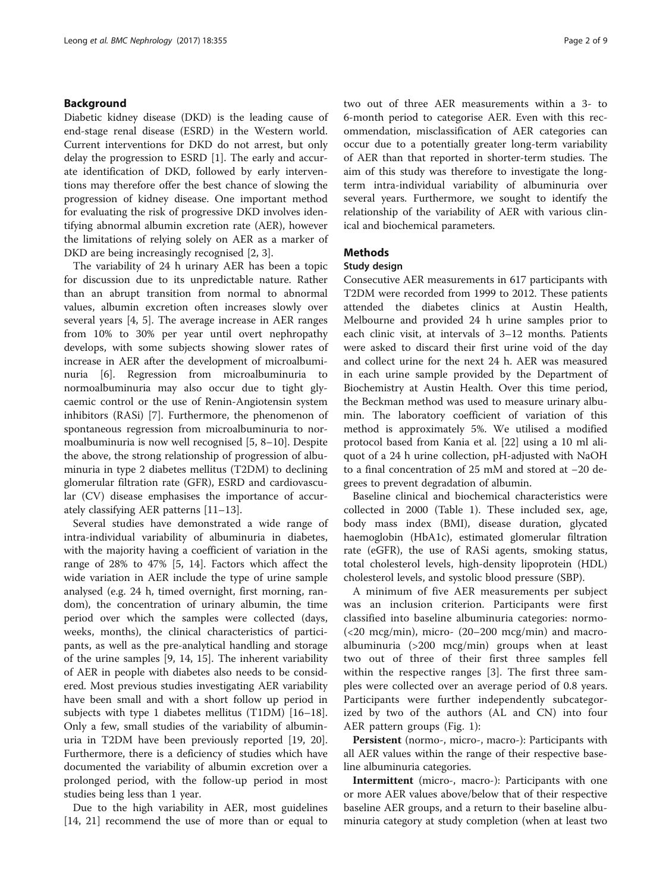# Background

Diabetic kidney disease (DKD) is the leading cause of end-stage renal disease (ESRD) in the Western world. Current interventions for DKD do not arrest, but only delay the progression to ESRD [\[1](#page-9-0)]. The early and accurate identification of DKD, followed by early interventions may therefore offer the best chance of slowing the progression of kidney disease. One important method for evaluating the risk of progressive DKD involves identifying abnormal albumin excretion rate (AER), however the limitations of relying solely on AER as a marker of DKD are being increasingly recognised [\[2](#page-9-0), [3](#page-9-0)].

The variability of 24 h urinary AER has been a topic for discussion due to its unpredictable nature. Rather than an abrupt transition from normal to abnormal values, albumin excretion often increases slowly over several years [[4](#page-9-0), [5](#page-9-0)]. The average increase in AER ranges from 10% to 30% per year until overt nephropathy develops, with some subjects showing slower rates of increase in AER after the development of microalbuminuria [[6\]](#page-9-0). Regression from microalbuminuria to normoalbuminuria may also occur due to tight glycaemic control or the use of Renin-Angiotensin system inhibitors (RASi) [[7\]](#page-9-0). Furthermore, the phenomenon of spontaneous regression from microalbuminuria to normoalbuminuria is now well recognised [\[5, 8](#page-9-0)–[10\]](#page-9-0). Despite the above, the strong relationship of progression of albuminuria in type 2 diabetes mellitus (T2DM) to declining glomerular filtration rate (GFR), ESRD and cardiovascular (CV) disease emphasises the importance of accurately classifying AER patterns [[11](#page-9-0)–[13](#page-9-0)].

Several studies have demonstrated a wide range of intra-individual variability of albuminuria in diabetes, with the majority having a coefficient of variation in the range of 28% to 47% [[5, 14](#page-9-0)]. Factors which affect the wide variation in AER include the type of urine sample analysed (e.g. 24 h, timed overnight, first morning, random), the concentration of urinary albumin, the time period over which the samples were collected (days, weeks, months), the clinical characteristics of participants, as well as the pre-analytical handling and storage of the urine samples [\[9](#page-9-0), [14, 15](#page-9-0)]. The inherent variability of AER in people with diabetes also needs to be considered. Most previous studies investigating AER variability have been small and with a short follow up period in subjects with type 1 diabetes mellitus (T1DM) [[16](#page-9-0)–[18](#page-9-0)]. Only a few, small studies of the variability of albuminuria in T2DM have been previously reported [[19, 20](#page-9-0)]. Furthermore, there is a deficiency of studies which have documented the variability of albumin excretion over a prolonged period, with the follow-up period in most studies being less than 1 year.

Due to the high variability in AER, most guidelines [[14, 21\]](#page-9-0) recommend the use of more than or equal to

two out of three AER measurements within a 3- to 6-month period to categorise AER. Even with this recommendation, misclassification of AER categories can occur due to a potentially greater long-term variability of AER than that reported in shorter-term studies. The aim of this study was therefore to investigate the longterm intra-individual variability of albuminuria over several years. Furthermore, we sought to identify the relationship of the variability of AER with various clinical and biochemical parameters.

# Methods

# Study design

Consecutive AER measurements in 617 participants with T2DM were recorded from 1999 to 2012. These patients attended the diabetes clinics at Austin Health, Melbourne and provided 24 h urine samples prior to each clinic visit, at intervals of 3–12 months. Patients were asked to discard their first urine void of the day and collect urine for the next 24 h. AER was measured in each urine sample provided by the Department of Biochemistry at Austin Health. Over this time period, the Beckman method was used to measure urinary albumin. The laboratory coefficient of variation of this method is approximately 5%. We utilised a modified protocol based from Kania et al. [\[22](#page-9-0)] using a 10 ml aliquot of a 24 h urine collection, pH-adjusted with NaOH to a final concentration of 25 mM and stored at −20 degrees to prevent degradation of albumin.

Baseline clinical and biochemical characteristics were collected in 2000 (Table [1\)](#page-3-0). These included sex, age, body mass index (BMI), disease duration, glycated haemoglobin (HbA1c), estimated glomerular filtration rate (eGFR), the use of RASi agents, smoking status, total cholesterol levels, high-density lipoprotein (HDL) cholesterol levels, and systolic blood pressure (SBP).

A minimum of five AER measurements per subject was an inclusion criterion. Participants were first classified into baseline albuminuria categories: normo-  $( $20 \text{ mcg/min}$ ), micro-  $(20-200 \text{ mcg/min})$  and macro$ albuminuria (>200 mcg/min) groups when at least two out of three of their first three samples fell within the respective ranges [[3\]](#page-9-0). The first three samples were collected over an average period of 0.8 years. Participants were further independently subcategorized by two of the authors (AL and CN) into four AER pattern groups (Fig. [1\)](#page-3-0):

Persistent (normo-, micro-, macro-): Participants with all AER values within the range of their respective baseline albuminuria categories.

Intermittent (micro-, macro-): Participants with one or more AER values above/below that of their respective baseline AER groups, and a return to their baseline albuminuria category at study completion (when at least two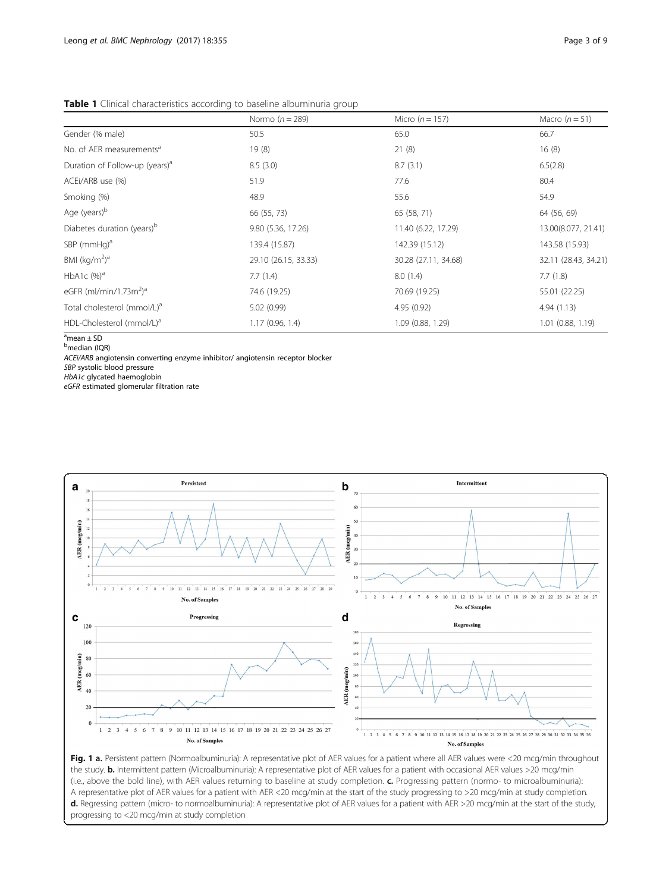<span id="page-3-0"></span>

|                                                | Normo ( $n = 289$ )  | Micro ( $n = 157$ )  | Macro $(n = 51)$      |  |
|------------------------------------------------|----------------------|----------------------|-----------------------|--|
| Gender (% male)                                | 50.5                 | 65.0                 | 66.7                  |  |
| No. of AER measurements <sup>a</sup>           | 19(8)                | 21(8)                | 16(8)                 |  |
| Duration of Follow-up (years) <sup>a</sup>     | 8.5(3.0)             | 8.7(3.1)             | 6.5(2.8)              |  |
| ACEI/ARB use (%)                               | 51.9                 | 77.6                 | 80.4                  |  |
| Smoking (%)                                    | 48.9                 | 55.6                 | 54.9                  |  |
| Age (years) <sup>b</sup>                       | 66 (55, 73)          | 65 (58, 71)          | 64 (56, 69)           |  |
| Diabetes duration (years) <sup>b</sup>         | 9.80 (5.36, 17.26)   | 11.40 (6.22, 17.29)  | 13.00(8.077, 21.41)   |  |
| $SBP$ (mmHg) <sup>a</sup>                      | 139.4 (15.87)        | 142.39 (15.12)       | 143.58 (15.93)        |  |
| BMI $(kq/m2)a$                                 | 29.10 (26.15, 33.33) | 30.28 (27.11, 34.68) | 32.11 (28.43, 34.21)  |  |
| HbA1c $(%)^a$                                  | 7.7(1.4)             | 8.0(1.4)             | 7.7(1.8)              |  |
| eGFR (ml/min/1.73m <sup>2</sup> ) <sup>a</sup> | 74.6 (19.25)         | 70.69 (19.25)        | 55.01 (22.25)         |  |
| Total cholesterol (mmol/L) <sup>a</sup>        | 5.02(0.99)           | 4.95(0.92)           | 4.94(1.13)            |  |
| HDL-Cholesterol (mmol/L) <sup>a</sup>          | 1.17(0.96, 1.4)      | 1.09 (0.88, 1.29)    | $1.01$ $(0.88, 1.19)$ |  |

 $^{\circ}$ mean  $\pm$  SD

<sup>b</sup>median (IQR)

ACEi/ARB angiotensin converting enzyme inhibitor/ angiotensin receptor blocker

SBP systolic blood pressure

HbA1c glycated haemoglobin

eGFR estimated glomerular filtration rate



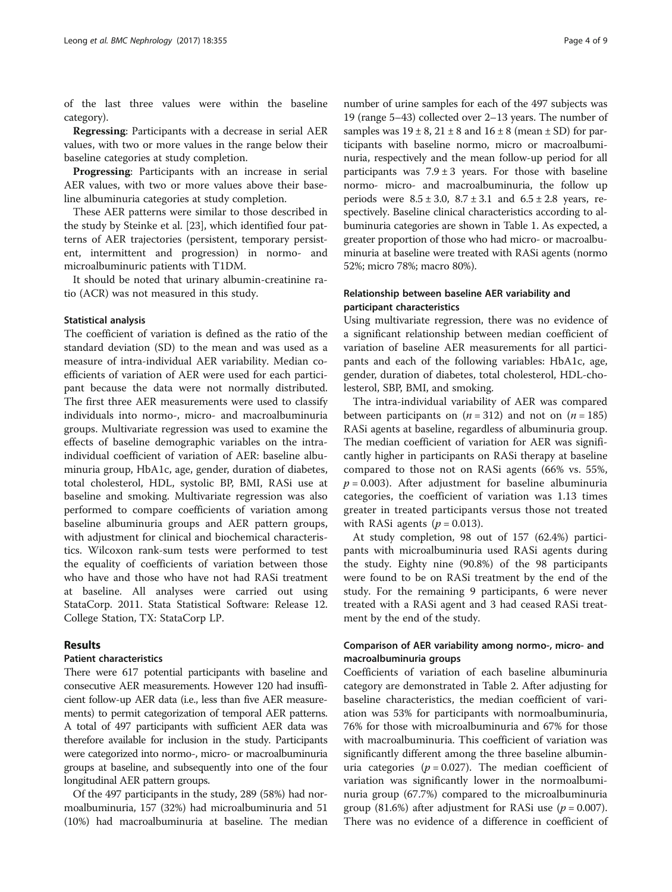of the last three values were within the baseline category).

Regressing: Participants with a decrease in serial AER values, with two or more values in the range below their baseline categories at study completion.

Progressing: Participants with an increase in serial AER values, with two or more values above their baseline albuminuria categories at study completion.

These AER patterns were similar to those described in the study by Steinke et al. [[23\]](#page-9-0), which identified four patterns of AER trajectories (persistent, temporary persistent, intermittent and progression) in normo- and microalbuminuric patients with T1DM.

It should be noted that urinary albumin-creatinine ratio (ACR) was not measured in this study.

# Statistical analysis

The coefficient of variation is defined as the ratio of the standard deviation (SD) to the mean and was used as a measure of intra-individual AER variability. Median coefficients of variation of AER were used for each participant because the data were not normally distributed. The first three AER measurements were used to classify individuals into normo-, micro- and macroalbuminuria groups. Multivariate regression was used to examine the effects of baseline demographic variables on the intraindividual coefficient of variation of AER: baseline albuminuria group, HbA1c, age, gender, duration of diabetes, total cholesterol, HDL, systolic BP, BMI, RASi use at baseline and smoking. Multivariate regression was also performed to compare coefficients of variation among baseline albuminuria groups and AER pattern groups, with adjustment for clinical and biochemical characteristics. Wilcoxon rank-sum tests were performed to test the equality of coefficients of variation between those who have and those who have not had RASi treatment at baseline. All analyses were carried out using StataCorp. 2011. Stata Statistical Software: Release 12. College Station, TX: StataCorp LP.

# Results

# Patient characteristics

There were 617 potential participants with baseline and consecutive AER measurements. However 120 had insufficient follow-up AER data (i.e., less than five AER measurements) to permit categorization of temporal AER patterns. A total of 497 participants with sufficient AER data was therefore available for inclusion in the study. Participants were categorized into normo-, micro- or macroalbuminuria groups at baseline, and subsequently into one of the four longitudinal AER pattern groups.

Of the 497 participants in the study, 289 (58%) had normoalbuminuria, 157 (32%) had microalbuminuria and 51 (10%) had macroalbuminuria at baseline. The median

number of urine samples for each of the 497 subjects was 19 (range 5–43) collected over 2–13 years. The number of samples was  $19 \pm 8$ ,  $21 \pm 8$  and  $16 \pm 8$  (mean  $\pm$  SD) for participants with baseline normo, micro or macroalbuminuria, respectively and the mean follow-up period for all participants was  $7.9 \pm 3$  years. For those with baseline normo- micro- and macroalbuminuria, the follow up periods were  $8.5 \pm 3.0$ ,  $8.7 \pm 3.1$  and  $6.5 \pm 2.8$  years, re-

spectively. Baseline clinical characteristics according to albuminuria categories are shown in Table [1.](#page-3-0) As expected, a greater proportion of those who had micro- or macroalbuminuria at baseline were treated with RASi agents (normo 52%; micro 78%; macro 80%).

# Relationship between baseline AER variability and participant characteristics

Using multivariate regression, there was no evidence of a significant relationship between median coefficient of variation of baseline AER measurements for all participants and each of the following variables: HbA1c, age, gender, duration of diabetes, total cholesterol, HDL-cholesterol, SBP, BMI, and smoking.

The intra-individual variability of AER was compared between participants on  $(n = 312)$  and not on  $(n = 185)$ RASi agents at baseline, regardless of albuminuria group. The median coefficient of variation for AER was significantly higher in participants on RASi therapy at baseline compared to those not on RASi agents (66% vs. 55%,  $p = 0.003$ ). After adjustment for baseline albuminuria categories, the coefficient of variation was 1.13 times greater in treated participants versus those not treated with RASi agents ( $p = 0.013$ ).

At study completion, 98 out of 157 (62.4%) participants with microalbuminuria used RASi agents during the study. Eighty nine (90.8%) of the 98 participants were found to be on RASi treatment by the end of the study. For the remaining 9 participants, 6 were never treated with a RASi agent and 3 had ceased RASi treatment by the end of the study.

# Comparison of AER variability among normo-, micro- and macroalbuminuria groups

Coefficients of variation of each baseline albuminuria category are demonstrated in Table [2.](#page-5-0) After adjusting for baseline characteristics, the median coefficient of variation was 53% for participants with normoalbuminuria, 76% for those with microalbuminuria and 67% for those with macroalbuminuria. This coefficient of variation was significantly different among the three baseline albuminuria categories ( $p = 0.027$ ). The median coefficient of variation was significantly lower in the normoalbuminuria group (67.7%) compared to the microalbuminuria group (81.6%) after adjustment for RASi use ( $p = 0.007$ ). There was no evidence of a difference in coefficient of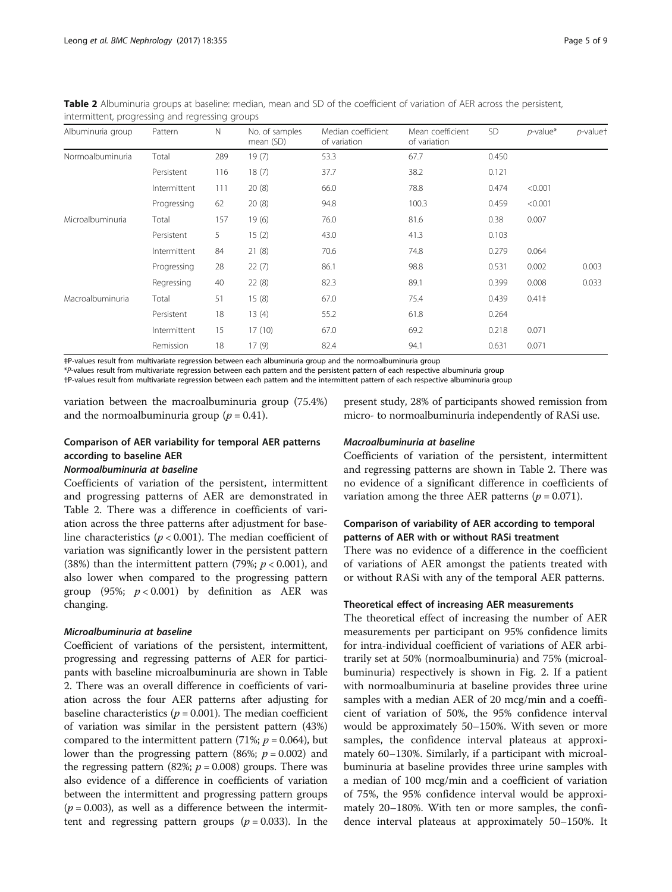| Albuminuria group | Pattern      | N   | No. of samples<br>mean (SD) | Median coefficient<br>of variation | Mean coefficient<br>of variation | SD    | $p$ -value* | $p$ -valuet |
|-------------------|--------------|-----|-----------------------------|------------------------------------|----------------------------------|-------|-------------|-------------|
| Normoalbuminuria  | Total        | 289 | 19(7)                       | 53.3                               | 67.7                             | 0.450 |             |             |
|                   | Persistent   | 116 | 18(7)                       | 37.7                               | 38.2                             | 0.121 |             |             |
|                   | Intermittent | 111 | 20(8)                       | 66.0                               | 78.8                             | 0.474 | < 0.001     |             |
|                   | Progressing  | 62  | 20(8)                       | 94.8                               | 100.3                            | 0.459 | < 0.001     |             |
| Microalbuminuria  | Total        | 157 | 19(6)                       | 76.0                               | 81.6                             | 0.38  | 0.007       |             |
|                   | Persistent   | 5.  | 15(2)                       | 43.0                               | 41.3                             | 0.103 |             |             |
|                   | Intermittent | 84  | 21(8)                       | 70.6                               | 74.8                             | 0.279 | 0.064       |             |
|                   | Progressing  | 28  | 22(7)                       | 86.1                               | 98.8                             | 0.531 | 0.002       | 0.003       |
|                   | Regressing   | 40  | 22(8)                       | 82.3                               | 89.1                             | 0.399 | 0.008       | 0.033       |
| Macroalbuminuria  | Total        | 51  | 15(8)                       | 67.0                               | 75.4                             | 0.439 | $0.41 \pm$  |             |
|                   | Persistent   | 18  | 13(4)                       | 55.2                               | 61.8                             | 0.264 |             |             |
|                   | Intermittent | 15  | 17(10)                      | 67.0                               | 69.2                             | 0.218 | 0.071       |             |
|                   | Remission    | 18  | 17(9)                       | 82.4                               | 94.1                             | 0.631 | 0.071       |             |

<span id="page-5-0"></span>Table 2 Albuminuria groups at baseline: median, mean and SD of the coefficient of variation of AER across the persistent, intermittent, progressing and regressing groups

‡P-values result from multivariate regression between each albuminuria group and the normoalbuminuria group

\*P-values result from multivariate regression between each pattern and the persistent pattern of each respective albuminuria group

†P-values result from multivariate regression between each pattern and the intermittent pattern of each respective albuminuria group

variation between the macroalbuminuria group (75.4%) and the normoal buminuria group ( $p = 0.41$ ).

# Comparison of AER variability for temporal AER patterns according to baseline AER

# Normoalbuminuria at baseline

Coefficients of variation of the persistent, intermittent and progressing patterns of AER are demonstrated in Table 2. There was a difference in coefficients of variation across the three patterns after adjustment for baseline characteristics ( $p < 0.001$ ). The median coefficient of variation was significantly lower in the persistent pattern (38%) than the intermittent pattern (79%;  $p < 0.001$ ), and also lower when compared to the progressing pattern group (95%;  $p < 0.001$ ) by definition as AER was changing.

# Microalbuminuria at baseline

Coefficient of variations of the persistent, intermittent, progressing and regressing patterns of AER for participants with baseline microalbuminuria are shown in Table 2. There was an overall difference in coefficients of variation across the four AER patterns after adjusting for baseline characteristics ( $p = 0.001$ ). The median coefficient of variation was similar in the persistent pattern (43%) compared to the intermittent pattern (71%;  $p = 0.064$ ), but lower than the progressing pattern (86%;  $p = 0.002$ ) and the regressing pattern (82%;  $p = 0.008$ ) groups. There was also evidence of a difference in coefficients of variation between the intermittent and progressing pattern groups  $(p = 0.003)$ , as well as a difference between the intermittent and regressing pattern groups ( $p = 0.033$ ). In the present study, 28% of participants showed remission from micro- to normoalbuminuria independently of RASi use.

# Macroalbuminuria at baseline

Coefficients of variation of the persistent, intermittent and regressing patterns are shown in Table 2. There was no evidence of a significant difference in coefficients of variation among the three AER patterns ( $p = 0.071$ ).

# Comparison of variability of AER according to temporal patterns of AER with or without RASi treatment

There was no evidence of a difference in the coefficient of variations of AER amongst the patients treated with or without RASi with any of the temporal AER patterns.

# Theoretical effect of increasing AER measurements

The theoretical effect of increasing the number of AER measurements per participant on 95% confidence limits for intra-individual coefficient of variations of AER arbitrarily set at 50% (normoalbuminuria) and 75% (microalbuminuria) respectively is shown in Fig. [2](#page-6-0). If a patient with normoalbuminuria at baseline provides three urine samples with a median AER of 20 mcg/min and a coefficient of variation of 50%, the 95% confidence interval would be approximately 50–150%. With seven or more samples, the confidence interval plateaus at approximately 60–130%. Similarly, if a participant with microalbuminuria at baseline provides three urine samples with a median of 100 mcg/min and a coefficient of variation of 75%, the 95% confidence interval would be approximately 20–180%. With ten or more samples, the confidence interval plateaus at approximately 50–150%. It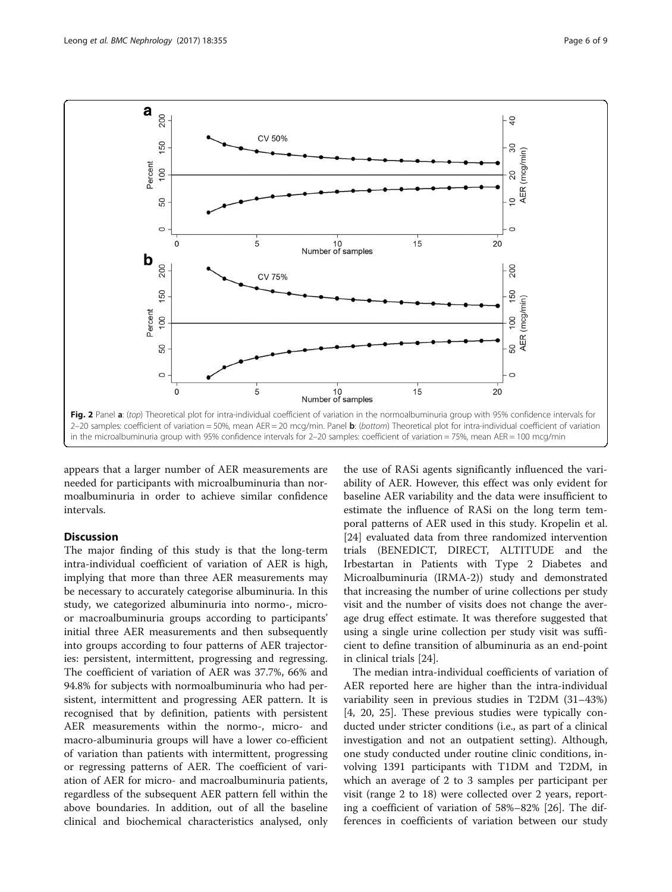<span id="page-6-0"></span>

appears that a larger number of AER measurements are needed for participants with microalbuminuria than normoalbuminuria in order to achieve similar confidence intervals.

# Discussion

The major finding of this study is that the long-term intra-individual coefficient of variation of AER is high, implying that more than three AER measurements may be necessary to accurately categorise albuminuria. In this study, we categorized albuminuria into normo-, microor macroalbuminuria groups according to participants' initial three AER measurements and then subsequently into groups according to four patterns of AER trajectories: persistent, intermittent, progressing and regressing. The coefficient of variation of AER was 37.7%, 66% and 94.8% for subjects with normoalbuminuria who had persistent, intermittent and progressing AER pattern. It is recognised that by definition, patients with persistent AER measurements within the normo-, micro- and macro-albuminuria groups will have a lower co-efficient of variation than patients with intermittent, progressing or regressing patterns of AER. The coefficient of variation of AER for micro- and macroalbuminuria patients, regardless of the subsequent AER pattern fell within the above boundaries. In addition, out of all the baseline clinical and biochemical characteristics analysed, only

the use of RASi agents significantly influenced the variability of AER. However, this effect was only evident for baseline AER variability and the data were insufficient to estimate the influence of RASi on the long term temporal patterns of AER used in this study. Kropelin et al. [[24\]](#page-9-0) evaluated data from three randomized intervention trials (BENEDICT, DIRECT, ALTITUDE and the Irbestartan in Patients with Type 2 Diabetes and Microalbuminuria (IRMA-2)) study and demonstrated that increasing the number of urine collections per study visit and the number of visits does not change the average drug effect estimate. It was therefore suggested that using a single urine collection per study visit was sufficient to define transition of albuminuria as an end-point in clinical trials [[24](#page-9-0)].

The median intra-individual coefficients of variation of AER reported here are higher than the intra-individual variability seen in previous studies in T2DM (31–43%) [[4, 20](#page-9-0), [25](#page-9-0)]. These previous studies were typically conducted under stricter conditions (i.e., as part of a clinical investigation and not an outpatient setting). Although, one study conducted under routine clinic conditions, involving 1391 participants with T1DM and T2DM, in which an average of 2 to 3 samples per participant per visit (range 2 to 18) were collected over 2 years, reporting a coefficient of variation of 58%–82% [\[26](#page-9-0)]. The differences in coefficients of variation between our study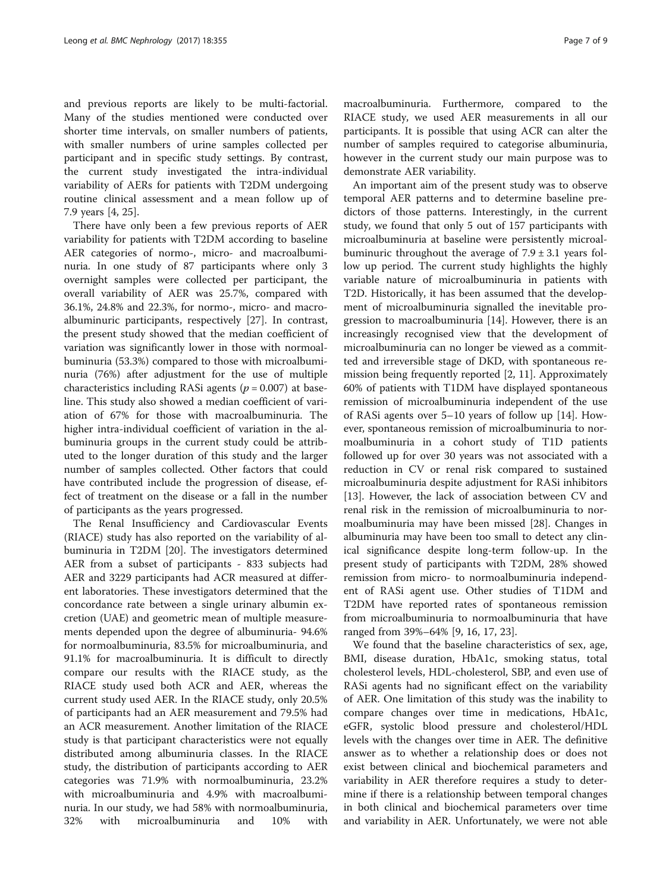and previous reports are likely to be multi-factorial. Many of the studies mentioned were conducted over shorter time intervals, on smaller numbers of patients, with smaller numbers of urine samples collected per participant and in specific study settings. By contrast, the current study investigated the intra-individual variability of AERs for patients with T2DM undergoing routine clinical assessment and a mean follow up of 7.9 years [\[4](#page-9-0), [25](#page-9-0)].

There have only been a few previous reports of AER variability for patients with T2DM according to baseline AER categories of normo-, micro- and macroalbuminuria. In one study of 87 participants where only 3 overnight samples were collected per participant, the overall variability of AER was 25.7%, compared with 36.1%, 24.8% and 22.3%, for normo-, micro- and macroalbuminuric participants, respectively [[27](#page-9-0)]. In contrast, the present study showed that the median coefficient of variation was significantly lower in those with normoalbuminuria (53.3%) compared to those with microalbuminuria (76%) after adjustment for the use of multiple characteristics including RASi agents ( $p = 0.007$ ) at baseline. This study also showed a median coefficient of variation of 67% for those with macroalbuminuria. The higher intra-individual coefficient of variation in the albuminuria groups in the current study could be attributed to the longer duration of this study and the larger number of samples collected. Other factors that could have contributed include the progression of disease, effect of treatment on the disease or a fall in the number of participants as the years progressed.

The Renal Insufficiency and Cardiovascular Events (RIACE) study has also reported on the variability of albuminuria in T2DM [[20\]](#page-9-0). The investigators determined AER from a subset of participants - 833 subjects had AER and 3229 participants had ACR measured at different laboratories. These investigators determined that the concordance rate between a single urinary albumin excretion (UAE) and geometric mean of multiple measurements depended upon the degree of albuminuria- 94.6% for normoalbuminuria, 83.5% for microalbuminuria, and 91.1% for macroalbuminuria. It is difficult to directly compare our results with the RIACE study, as the RIACE study used both ACR and AER, whereas the current study used AER. In the RIACE study, only 20.5% of participants had an AER measurement and 79.5% had an ACR measurement. Another limitation of the RIACE study is that participant characteristics were not equally distributed among albuminuria classes. In the RIACE study, the distribution of participants according to AER categories was 71.9% with normoalbuminuria, 23.2% with microalbuminuria and 4.9% with macroalbuminuria. In our study, we had 58% with normoalbuminuria, 32% with microalbuminuria and 10% with

macroalbuminuria. Furthermore, compared to the RIACE study, we used AER measurements in all our participants. It is possible that using ACR can alter the number of samples required to categorise albuminuria, however in the current study our main purpose was to demonstrate AER variability.

An important aim of the present study was to observe temporal AER patterns and to determine baseline predictors of those patterns. Interestingly, in the current study, we found that only 5 out of 157 participants with microalbuminuria at baseline were persistently microalbuminuric throughout the average of  $7.9 \pm 3.1$  years follow up period. The current study highlights the highly variable nature of microalbuminuria in patients with T2D. Historically, it has been assumed that the development of microalbuminuria signalled the inevitable progression to macroalbuminuria [[14\]](#page-9-0). However, there is an increasingly recognised view that the development of microalbuminuria can no longer be viewed as a committed and irreversible stage of DKD, with spontaneous remission being frequently reported [[2, 11\]](#page-9-0). Approximately 60% of patients with T1DM have displayed spontaneous remission of microalbuminuria independent of the use of RASi agents over 5–10 years of follow up [[14\]](#page-9-0). However, spontaneous remission of microalbuminuria to normoalbuminuria in a cohort study of T1D patients followed up for over 30 years was not associated with a reduction in CV or renal risk compared to sustained microalbuminuria despite adjustment for RASi inhibitors [[13\]](#page-9-0). However, the lack of association between CV and renal risk in the remission of microalbuminuria to normoalbuminuria may have been missed [[28\]](#page-9-0). Changes in albuminuria may have been too small to detect any clinical significance despite long-term follow-up. In the present study of participants with T2DM, 28% showed remission from micro- to normoalbuminuria independent of RASi agent use. Other studies of T1DM and T2DM have reported rates of spontaneous remission from microalbuminuria to normoalbuminuria that have ranged from 39%–64% [[9, 16](#page-9-0), [17](#page-9-0), [23](#page-9-0)].

We found that the baseline characteristics of sex, age, BMI, disease duration, HbA1c, smoking status, total cholesterol levels, HDL-cholesterol, SBP, and even use of RASi agents had no significant effect on the variability of AER. One limitation of this study was the inability to compare changes over time in medications, HbA1c, eGFR, systolic blood pressure and cholesterol/HDL levels with the changes over time in AER. The definitive answer as to whether a relationship does or does not exist between clinical and biochemical parameters and variability in AER therefore requires a study to determine if there is a relationship between temporal changes in both clinical and biochemical parameters over time and variability in AER. Unfortunately, we were not able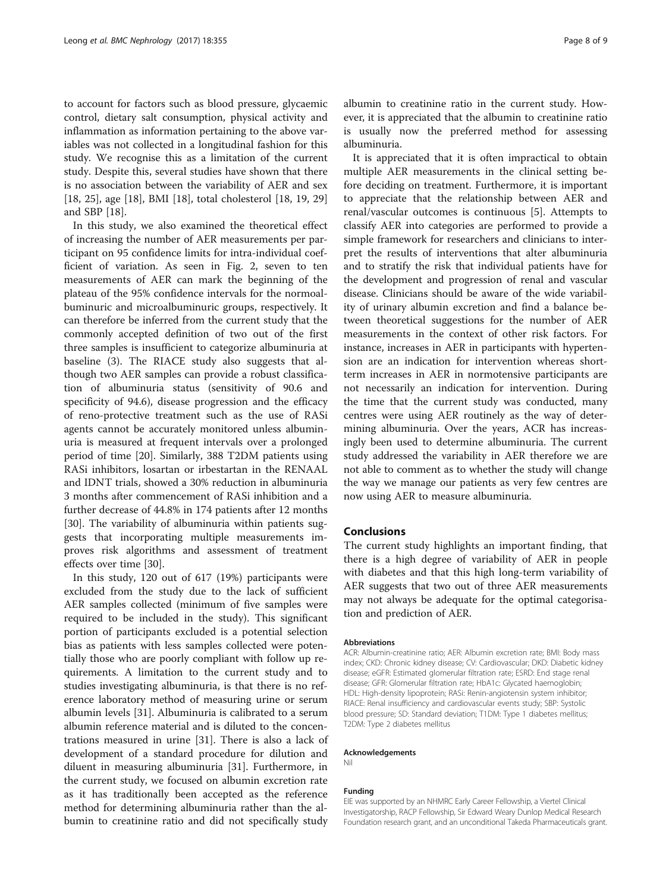to account for factors such as blood pressure, glycaemic control, dietary salt consumption, physical activity and inflammation as information pertaining to the above variables was not collected in a longitudinal fashion for this study. We recognise this as a limitation of the current study. Despite this, several studies have shown that there is no association between the variability of AER and sex [[18, 25\]](#page-9-0), age [\[18](#page-9-0)], BMI [18], total cholesterol [\[18, 19](#page-9-0), [29](#page-9-0)] and SBP [\[18\]](#page-9-0).

In this study, we also examined the theoretical effect of increasing the number of AER measurements per participant on 95 confidence limits for intra-individual coefficient of variation. As seen in Fig. [2,](#page-6-0) seven to ten measurements of AER can mark the beginning of the plateau of the 95% confidence intervals for the normoalbuminuric and microalbuminuric groups, respectively. It can therefore be inferred from the current study that the commonly accepted definition of two out of the first three samples is insufficient to categorize albuminuria at baseline (3). The RIACE study also suggests that although two AER samples can provide a robust classification of albuminuria status (sensitivity of 90.6 and specificity of 94.6), disease progression and the efficacy of reno-protective treatment such as the use of RASi agents cannot be accurately monitored unless albuminuria is measured at frequent intervals over a prolonged period of time [\[20\]](#page-9-0). Similarly, 388 T2DM patients using RASi inhibitors, losartan or irbestartan in the RENAAL and IDNT trials, showed a 30% reduction in albuminuria 3 months after commencement of RASi inhibition and a further decrease of 44.8% in 174 patients after 12 months [[30\]](#page-9-0). The variability of albuminuria within patients suggests that incorporating multiple measurements improves risk algorithms and assessment of treatment effects over time [[30\]](#page-9-0).

In this study, 120 out of 617 (19%) participants were excluded from the study due to the lack of sufficient AER samples collected (minimum of five samples were required to be included in the study). This significant portion of participants excluded is a potential selection bias as patients with less samples collected were potentially those who are poorly compliant with follow up requirements. A limitation to the current study and to studies investigating albuminuria, is that there is no reference laboratory method of measuring urine or serum albumin levels [[31](#page-9-0)]. Albuminuria is calibrated to a serum albumin reference material and is diluted to the concentrations measured in urine [\[31\]](#page-9-0). There is also a lack of development of a standard procedure for dilution and diluent in measuring albuminuria [[31\]](#page-9-0). Furthermore, in the current study, we focused on albumin excretion rate as it has traditionally been accepted as the reference method for determining albuminuria rather than the albumin to creatinine ratio and did not specifically study

albumin to creatinine ratio in the current study. However, it is appreciated that the albumin to creatinine ratio is usually now the preferred method for assessing albuminuria.

It is appreciated that it is often impractical to obtain multiple AER measurements in the clinical setting before deciding on treatment. Furthermore, it is important to appreciate that the relationship between AER and renal/vascular outcomes is continuous [\[5](#page-9-0)]. Attempts to classify AER into categories are performed to provide a simple framework for researchers and clinicians to interpret the results of interventions that alter albuminuria and to stratify the risk that individual patients have for the development and progression of renal and vascular disease. Clinicians should be aware of the wide variability of urinary albumin excretion and find a balance between theoretical suggestions for the number of AER measurements in the context of other risk factors. For instance, increases in AER in participants with hypertension are an indication for intervention whereas shortterm increases in AER in normotensive participants are not necessarily an indication for intervention. During the time that the current study was conducted, many centres were using AER routinely as the way of determining albuminuria. Over the years, ACR has increasingly been used to determine albuminuria. The current study addressed the variability in AER therefore we are not able to comment as to whether the study will change the way we manage our patients as very few centres are now using AER to measure albuminuria.

# Conclusions

The current study highlights an important finding, that there is a high degree of variability of AER in people with diabetes and that this high long-term variability of AER suggests that two out of three AER measurements may not always be adequate for the optimal categorisation and prediction of AER.

# Abbreviations

ACR: Albumin-creatinine ratio; AER: Albumin excretion rate; BMI: Body mass index; CKD: Chronic kidney disease; CV: Cardiovascular; DKD: Diabetic kidney disease; eGFR: Estimated glomerular filtration rate; ESRD: End stage renal disease; GFR: Glomerular filtration rate; HbA1c: Glycated haemoglobin; HDL: High-density lipoprotein; RASi: Renin-angiotensin system inhibitor; RIACE: Renal insufficiency and cardiovascular events study; SBP: Systolic blood pressure; SD: Standard deviation; T1DM: Type 1 diabetes mellitus; T2DM: Type 2 diabetes mellitus

# Acknowledgements

Nil

## Funding

EIE was supported by an NHMRC Early Career Fellowship, a Viertel Clinical Investigatorship, RACP Fellowship, Sir Edward Weary Dunlop Medical Research Foundation research grant, and an unconditional Takeda Pharmaceuticals grant.